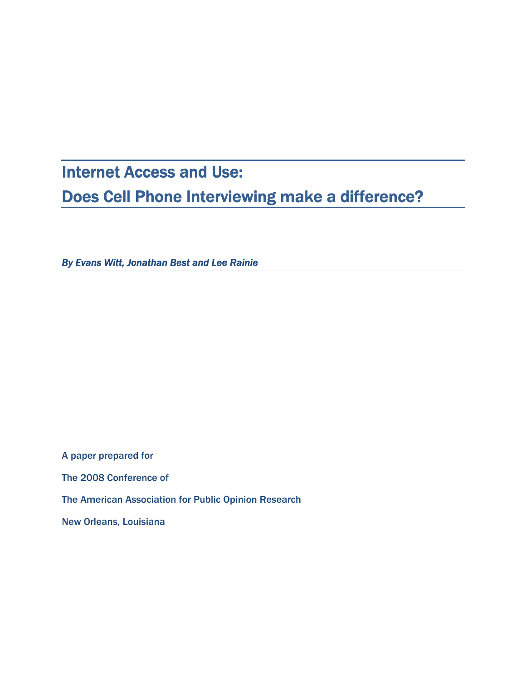# Internet Access and Use: Does Cell Phone Interviewing make a difference?

*By Evans Witt, Jonathan Best and Lee Rainie* 

A paper prepared for The 2008 Conference of The American Association for Public Opinion Research New Orleans, Louisiana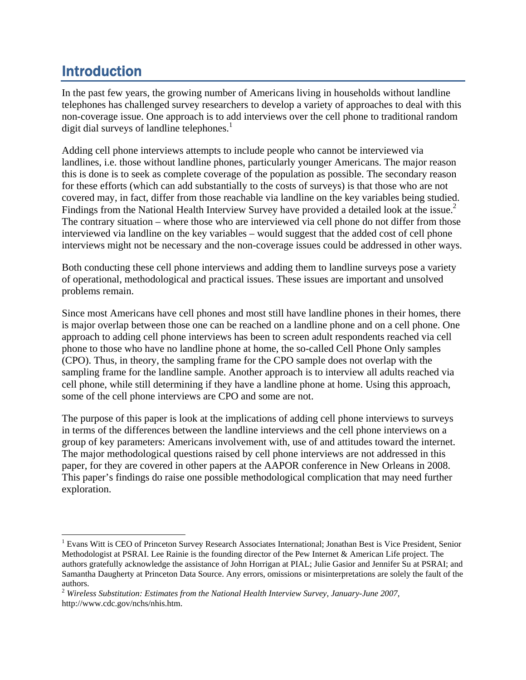## Introduction

In the past few years, the growing number of Americans living in households without landline telephones has challenged survey researchers to develop a variety of approaches to deal with this non-coverage issue. One approach is to add interviews over the cell phone to traditional random digit dial surveys of landline telephones.<sup>1</sup>

Adding cell phone interviews attempts to include people who cannot be interviewed via landlines, i.e. those without landline phones, particularly younger Americans. The major reason this is done is to seek as complete coverage of the population as possible. The secondary reason for these efforts (which can add substantially to the costs of surveys) is that those who are not covered may, in fact, differ from those reachable via landline on the key variables being studied. Findings from the National Health Interview Survey have provided a detailed look at the issue.<sup>2</sup> The contrary situation – where those who are interviewed via cell phone do not differ from those interviewed via landline on the key variables – would suggest that the added cost of cell phone interviews might not be necessary and the non-coverage issues could be addressed in other ways.

Both conducting these cell phone interviews and adding them to landline surveys pose a variety of operational, methodological and practical issues. These issues are important and unsolved problems remain.

Since most Americans have cell phones and most still have landline phones in their homes, there is major overlap between those one can be reached on a landline phone and on a cell phone. One approach to adding cell phone interviews has been to screen adult respondents reached via cell phone to those who have no landline phone at home, the so-called Cell Phone Only samples (CPO). Thus, in theory, the sampling frame for the CPO sample does not overlap with the sampling frame for the landline sample. Another approach is to interview all adults reached via cell phone, while still determining if they have a landline phone at home. Using this approach, some of the cell phone interviews are CPO and some are not.

The purpose of this paper is look at the implications of adding cell phone interviews to surveys in terms of the differences between the landline interviews and the cell phone interviews on a group of key parameters: Americans involvement with, use of and attitudes toward the internet. The major methodological questions raised by cell phone interviews are not addressed in this paper, for they are covered in other papers at the AAPOR conference in New Orleans in 2008. This paper's findings do raise one possible methodological complication that may need further exploration.

<sup>&</sup>lt;sup>1</sup> Evans Witt is CEO of Princeton Survey Research Associates International; Jonathan Best is Vice President, Senior Methodologist at PSRAI. Lee Rainie is the founding director of the Pew Internet & American Life project. The authors gratefully acknowledge the assistance of John Horrigan at PIAL; Julie Gasior and Jennifer Su at PSRAI; and Samantha Daugherty at Princeton Data Source. Any errors, omissions or misinterpretations are solely the fault of the authors.

<sup>2</sup> *Wireless Substitution: Estimates from the National Health Interview Survey, January-June 2007,* http://www.cdc.gov/nchs/nhis.htm.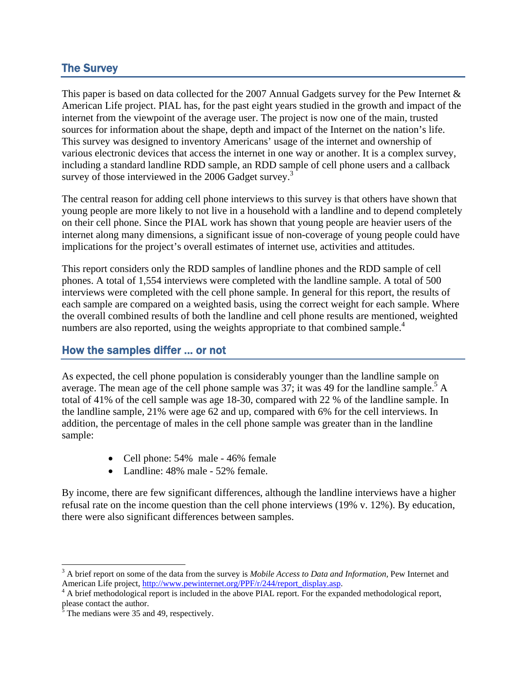#### The Survey

This paper is based on data collected for the 2007 Annual Gadgets survey for the Pew Internet & American Life project. PIAL has, for the past eight years studied in the growth and impact of the internet from the viewpoint of the average user. The project is now one of the main, trusted sources for information about the shape, depth and impact of the Internet on the nation's life. This survey was designed to inventory Americans' usage of the internet and ownership of various electronic devices that access the internet in one way or another. It is a complex survey, including a standard landline RDD sample, an RDD sample of cell phone users and a callback survey of those interviewed in the  $2006$  Gadget survey.<sup>3</sup>

The central reason for adding cell phone interviews to this survey is that others have shown that young people are more likely to not live in a household with a landline and to depend completely on their cell phone. Since the PIAL work has shown that young people are heavier users of the internet along many dimensions, a significant issue of non-coverage of young people could have implications for the project's overall estimates of internet use, activities and attitudes.

This report considers only the RDD samples of landline phones and the RDD sample of cell phones. A total of 1,554 interviews were completed with the landline sample. A total of 500 interviews were completed with the cell phone sample. In general for this report, the results of each sample are compared on a weighted basis, using the correct weight for each sample. Where the overall combined results of both the landline and cell phone results are mentioned, weighted numbers are also reported, using the weights appropriate to that combined sample.<sup>4</sup>

#### How the samples differ … or not

As expected, the cell phone population is considerably younger than the landline sample on average. The mean age of the cell phone sample was  $37$ ; it was 49 for the landline sample.<sup>5</sup> A total of 41% of the cell sample was age 18-30, compared with 22 % of the landline sample. In the landline sample, 21% were age 62 and up, compared with 6% for the cell interviews. In addition, the percentage of males in the cell phone sample was greater than in the landline sample:

- Cell phone: 54% male 46% female
- Landline: 48% male 52% female.

By income, there are few significant differences, although the landline interviews have a higher refusal rate on the income question than the cell phone interviews (19% v. 12%). By education, there were also significant differences between samples.

<sup>3</sup> A brief report on some of the data from the survey is *Mobile Access to Data and Information,* Pew Internet and

American Life project, *http://www.pewinternet.org/PPF/r/244/report\_display.asp.* 4 A brief methodological report is included in the above PIAL report. For the expanded methodological report, please contact the author.<br> $\frac{5}{5}$  The medians were  $35$  and

The medians were 35 and 49, respectively.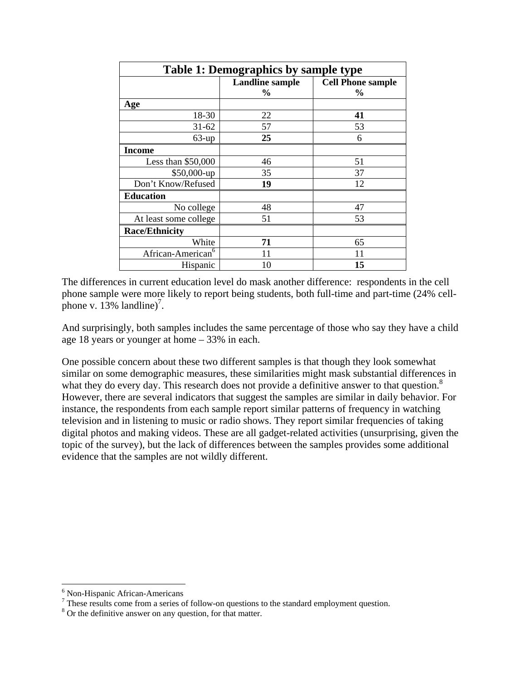| <b>Table 1: Demographics by sample type</b> |                                |                                  |
|---------------------------------------------|--------------------------------|----------------------------------|
|                                             | <b>Landline sample</b><br>$\%$ | <b>Cell Phone sample</b><br>$\%$ |
| Age                                         |                                |                                  |
| 18-30                                       | 22                             | 41                               |
| $31 - 62$                                   | 57                             | 53                               |
| $63$ -up                                    | 25                             | 6                                |
| <b>Income</b>                               |                                |                                  |
| Less than $$50,000$                         | 46                             | 51                               |
| $$50,000$ -up                               | 35                             | 37                               |
| Don't Know/Refused                          | 19                             | 12                               |
| <b>Education</b>                            |                                |                                  |
| No college                                  | 48                             | 47                               |
| At least some college                       | 51                             | 53                               |
| <b>Race/Ethnicity</b>                       |                                |                                  |
| White                                       | 71                             | 65                               |
| African-American <sup>6</sup>               | 11                             | 11                               |
| Hispanic                                    | 10                             | 15                               |

The differences in current education level do mask another difference: respondents in the cell phone sample were more likely to report being students, both full-time and part-time (24% cellphone v.  $13\%$  landline)<sup>7</sup>.

And surprisingly, both samples includes the same percentage of those who say they have a child age 18 years or younger at home – 33% in each.

One possible concern about these two different samples is that though they look somewhat similar on some demographic measures, these similarities might mask substantial differences in what they do every day. This research does not provide a definitive answer to that question. $8$ However, there are several indicators that suggest the samples are similar in daily behavior. For instance, the respondents from each sample report similar patterns of frequency in watching television and in listening to music or radio shows. They report similar frequencies of taking digital photos and making videos. These are all gadget-related activities (unsurprising, given the topic of the survey), but the lack of differences between the samples provides some additional evidence that the samples are not wildly different.

 6 Non-Hispanic African-Americans

 $<sup>7</sup>$  These results come from a series of follow-on questions to the standard employment question.</sup>

<sup>&</sup>lt;sup>8</sup> Or the definitive answer on any question, for that matter.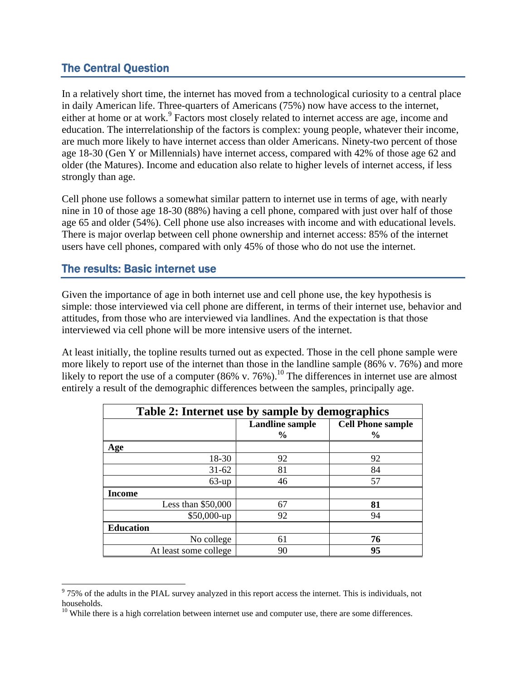#### The Central Question

In a relatively short time, the internet has moved from a technological curiosity to a central place in daily American life. Three-quarters of Americans (75%) now have access to the internet, either at home or at work.<sup>9</sup> Factors most closely related to internet access are age, income and education. The interrelationship of the factors is complex: young people, whatever their income, are much more likely to have internet access than older Americans. Ninety-two percent of those age 18-30 (Gen Y or Millennials) have internet access, compared with 42% of those age 62 and older (the Matures). Income and education also relate to higher levels of internet access, if less strongly than age.

Cell phone use follows a somewhat similar pattern to internet use in terms of age, with nearly nine in 10 of those age 18-30 (88%) having a cell phone, compared with just over half of those age 65 and older (54%). Cell phone use also increases with income and with educational levels. There is major overlap between cell phone ownership and internet access: 85% of the internet users have cell phones, compared with only 45% of those who do not use the internet.

#### The results: Basic internet use

Given the importance of age in both internet use and cell phone use, the key hypothesis is simple: those interviewed via cell phone are different, in terms of their internet use, behavior and attitudes, from those who are interviewed via landlines. And the expectation is that those interviewed via cell phone will be more intensive users of the internet.

At least initially, the topline results turned out as expected. Those in the cell phone sample were more likely to report use of the internet than those in the landline sample (86% v. 76%) and more likely to report the use of a computer  $(86\% \text{ v. } 76\%)$ .<sup>10</sup> The differences in internet use are almost entirely a result of the demographic differences between the samples, principally age.

| Table 2: Internet use by sample by demographics |                        |                          |  |
|-------------------------------------------------|------------------------|--------------------------|--|
|                                                 | <b>Landline sample</b> | <b>Cell Phone sample</b> |  |
|                                                 | $\frac{6}{9}$          | $\frac{0}{0}$            |  |
| Age                                             |                        |                          |  |
| 18-30                                           | 92                     | 92                       |  |
| $31 - 62$                                       | 81                     | 84                       |  |
| $63$ -up                                        | 46                     | 57                       |  |
| <b>Income</b>                                   |                        |                          |  |
| Less than $$50,000$                             | 67                     | 81                       |  |
| \$50,000-up                                     | 92                     | 94                       |  |
| <b>Education</b>                                |                        |                          |  |
| No college                                      | 61                     | 76                       |  |
| At least some college                           | 90                     | 95                       |  |

<sup>&</sup>lt;sup>9</sup> 75% of the adults in the PIAL survey analyzed in this report access the internet. This is individuals, not households.

 $10$  While there is a high correlation between internet use and computer use, there are some differences.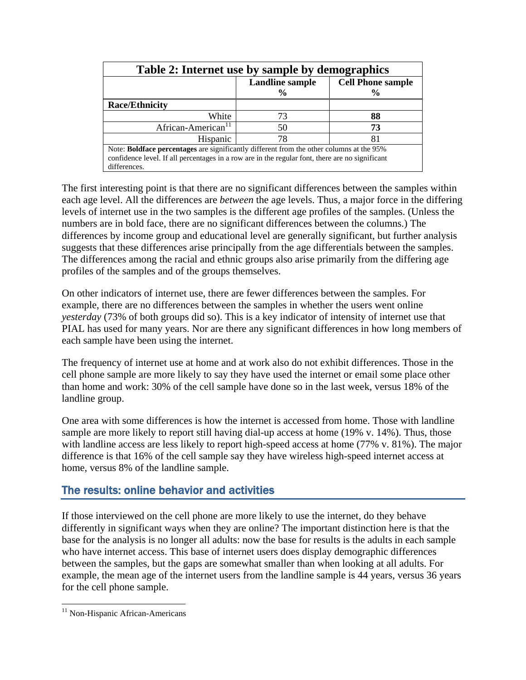| Table 2: Internet use by sample by demographics                                                 |                                         |                                            |
|-------------------------------------------------------------------------------------------------|-----------------------------------------|--------------------------------------------|
|                                                                                                 | <b>Landline</b> sample<br>$\frac{0}{0}$ | <b>Cell Phone sample</b><br>$\frac{6}{10}$ |
| <b>Race/Ethnicity</b>                                                                           |                                         |                                            |
| White                                                                                           | 73                                      | 88                                         |
| African-American <sup>11</sup>                                                                  | 50                                      | 73                                         |
| Hispanic                                                                                        | 78                                      | 81                                         |
| Note: Boldface percentages are significantly different from the other columns at the 95%        |                                         |                                            |
| confidence level. If all percentages in a row are in the regular font, there are no significant |                                         |                                            |
| differences.                                                                                    |                                         |                                            |

The first interesting point is that there are no significant differences between the samples within each age level. All the differences are *between* the age levels. Thus, a major force in the differing levels of internet use in the two samples is the different age profiles of the samples. (Unless the numbers are in bold face, there are no significant differences between the columns.) The differences by income group and educational level are generally significant, but further analysis suggests that these differences arise principally from the age differentials between the samples. The differences among the racial and ethnic groups also arise primarily from the differing age profiles of the samples and of the groups themselves.

On other indicators of internet use, there are fewer differences between the samples. For example, there are no differences between the samples in whether the users went online *yesterday* (73% of both groups did so). This is a key indicator of intensity of internet use that PIAL has used for many years. Nor are there any significant differences in how long members of each sample have been using the internet.

The frequency of internet use at home and at work also do not exhibit differences. Those in the cell phone sample are more likely to say they have used the internet or email some place other than home and work: 30% of the cell sample have done so in the last week, versus 18% of the landline group.

One area with some differences is how the internet is accessed from home. Those with landline sample are more likely to report still having dial-up access at home (19% v. 14%). Thus, those with landline access are less likely to report high-speed access at home (77% v. 81%). The major difference is that 16% of the cell sample say they have wireless high-speed internet access at home, versus 8% of the landline sample.

#### The results: online behavior and activities

If those interviewed on the cell phone are more likely to use the internet, do they behave differently in significant ways when they are online? The important distinction here is that the base for the analysis is no longer all adults: now the base for results is the adults in each sample who have internet access. This base of internet users does display demographic differences between the samples, but the gaps are somewhat smaller than when looking at all adults. For example, the mean age of the internet users from the landline sample is 44 years, versus 36 years for the cell phone sample.

<sup>&</sup>lt;sup>11</sup> Non-Hispanic African-Americans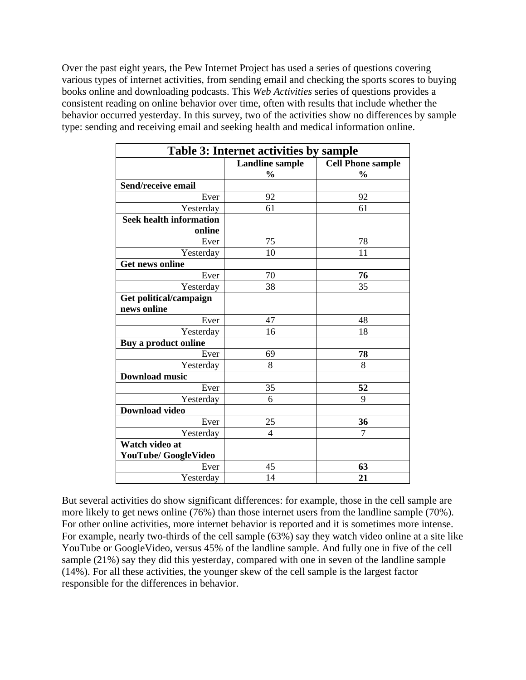Over the past eight years, the Pew Internet Project has used a series of questions covering various types of internet activities, from sending email and checking the sports scores to buying books online and downloading podcasts. This *Web Activities* series of questions provides a consistent reading on online behavior over time, often with results that include whether the behavior occurred yesterday. In this survey, two of the activities show no differences by sample type: sending and receiving email and seeking health and medical information online.

| <b>Table 3: Internet activities by sample</b> |                        |                          |
|-----------------------------------------------|------------------------|--------------------------|
|                                               | <b>Landline sample</b> | <b>Cell Phone sample</b> |
|                                               | $\frac{0}{0}$          | $\frac{0}{0}$            |
| Send/receive email                            |                        |                          |
| Ever                                          | 92                     | 92                       |
| Yesterday                                     | 61                     | 61                       |
| <b>Seek health information</b>                |                        |                          |
| online                                        |                        |                          |
| Ever                                          | 75                     | 78                       |
| Yesterday                                     | 10                     | 11                       |
| <b>Get news online</b>                        |                        |                          |
| Ever                                          | 70                     | 76                       |
| Yesterday                                     | 38                     | 35                       |
| Get political/campaign                        |                        |                          |
| news online                                   |                        |                          |
| Ever                                          | 47                     | 48                       |
| Yesterday                                     | 16                     | 18                       |
| Buy a product online                          |                        |                          |
| Ever                                          | 69                     | 78                       |
| Yesterday                                     | 8                      | 8                        |
| <b>Download music</b>                         |                        |                          |
| Ever                                          | 35                     | 52                       |
| Yesterday                                     | 6                      | 9                        |
| <b>Download video</b>                         |                        |                          |
| Ever                                          | 25                     | 36                       |
| Yesterday                                     | 4                      | $\overline{7}$           |
| Watch video at                                |                        |                          |
| <b>YouTube/ GoogleVideo</b>                   |                        |                          |
| Ever                                          | 45                     | 63                       |
| Yesterday                                     | 14                     | 21                       |

But several activities do show significant differences: for example, those in the cell sample are more likely to get news online (76%) than those internet users from the landline sample (70%). For other online activities, more internet behavior is reported and it is sometimes more intense. For example, nearly two-thirds of the cell sample (63%) say they watch video online at a site like YouTube or GoogleVideo, versus 45% of the landline sample. And fully one in five of the cell sample (21%) say they did this yesterday, compared with one in seven of the landline sample (14%). For all these activities, the younger skew of the cell sample is the largest factor responsible for the differences in behavior.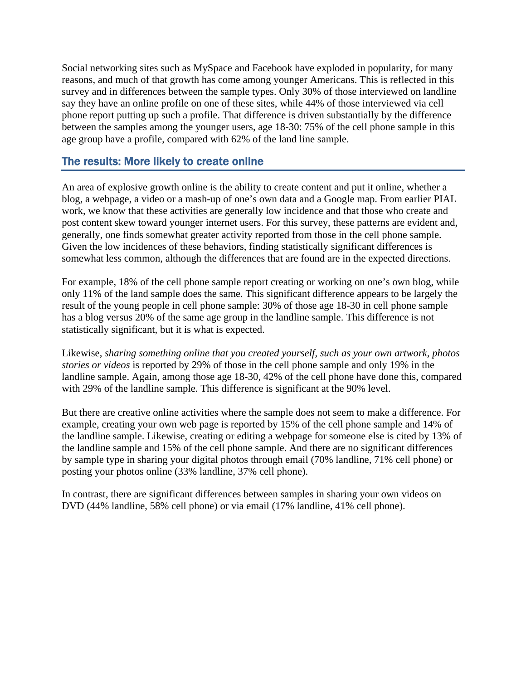Social networking sites such as MySpace and Facebook have exploded in popularity, for many reasons, and much of that growth has come among younger Americans. This is reflected in this survey and in differences between the sample types. Only 30% of those interviewed on landline say they have an online profile on one of these sites, while 44% of those interviewed via cell phone report putting up such a profile. That difference is driven substantially by the difference between the samples among the younger users, age 18-30: 75% of the cell phone sample in this age group have a profile, compared with 62% of the land line sample.

#### The results: More likely to create online

An area of explosive growth online is the ability to create content and put it online, whether a blog, a webpage, a video or a mash-up of one's own data and a Google map. From earlier PIAL work, we know that these activities are generally low incidence and that those who create and post content skew toward younger internet users. For this survey, these patterns are evident and, generally, one finds somewhat greater activity reported from those in the cell phone sample. Given the low incidences of these behaviors, finding statistically significant differences is somewhat less common, although the differences that are found are in the expected directions.

For example, 18% of the cell phone sample report creating or working on one's own blog, while only 11% of the land sample does the same. This significant difference appears to be largely the result of the young people in cell phone sample: 30% of those age 18-30 in cell phone sample has a blog versus 20% of the same age group in the landline sample. This difference is not statistically significant, but it is what is expected.

Likewise, *sharing something online that you created yourself, such as your own artwork, photos stories or videos* is reported by 29% of those in the cell phone sample and only 19% in the landline sample. Again, among those age 18-30, 42% of the cell phone have done this, compared with 29% of the landline sample. This difference is significant at the 90% level.

But there are creative online activities where the sample does not seem to make a difference. For example, creating your own web page is reported by 15% of the cell phone sample and 14% of the landline sample. Likewise, creating or editing a webpage for someone else is cited by 13% of the landline sample and 15% of the cell phone sample. And there are no significant differences by sample type in sharing your digital photos through email (70% landline, 71% cell phone) or posting your photos online (33% landline, 37% cell phone).

In contrast, there are significant differences between samples in sharing your own videos on DVD (44% landline, 58% cell phone) or via email (17% landline, 41% cell phone).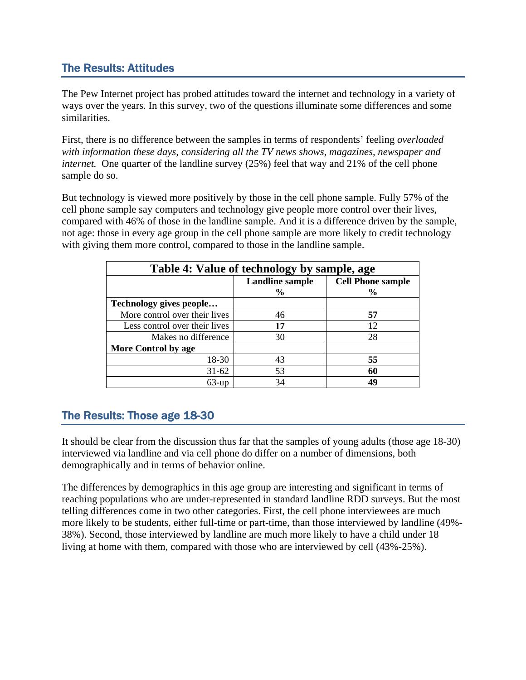#### The Results: Attitudes

The Pew Internet project has probed attitudes toward the internet and technology in a variety of ways over the years. In this survey, two of the questions illuminate some differences and some similarities.

First, there is no difference between the samples in terms of respondents' feeling *overloaded with information these days, considering all the TV news shows, magazines, newspaper and internet.* One quarter of the landline survey (25%) feel that way and 21% of the cell phone sample do so.

But technology is viewed more positively by those in the cell phone sample. Fully 57% of the cell phone sample say computers and technology give people more control over their lives, compared with 46% of those in the landline sample. And it is a difference driven by the sample, not age: those in every age group in the cell phone sample are more likely to credit technology with giving them more control, compared to those in the landline sample.

| Table 4: Value of technology by sample, age |                        |                          |  |
|---------------------------------------------|------------------------|--------------------------|--|
|                                             | <b>Landline sample</b> | <b>Cell Phone sample</b> |  |
|                                             | $\frac{6}{9}$          | $\frac{0}{0}$            |  |
| Technology gives people                     |                        |                          |  |
| More control over their lives               | 46                     | 57                       |  |
| Less control over their lives               | 17                     | 12                       |  |
| Makes no difference                         | 30                     | 28                       |  |
| <b>More Control by age</b>                  |                        |                          |  |
| 18-30                                       | 43                     | 55                       |  |
| $31-62$                                     | 53                     | 60                       |  |
| $63$ -up                                    | 34                     | 40                       |  |

#### The Results: Those age 18-30

It should be clear from the discussion thus far that the samples of young adults (those age 18-30) interviewed via landline and via cell phone do differ on a number of dimensions, both demographically and in terms of behavior online.

The differences by demographics in this age group are interesting and significant in terms of reaching populations who are under-represented in standard landline RDD surveys. But the most telling differences come in two other categories. First, the cell phone interviewees are much more likely to be students, either full-time or part-time, than those interviewed by landline (49%- 38%). Second, those interviewed by landline are much more likely to have a child under 18 living at home with them, compared with those who are interviewed by cell (43%-25%).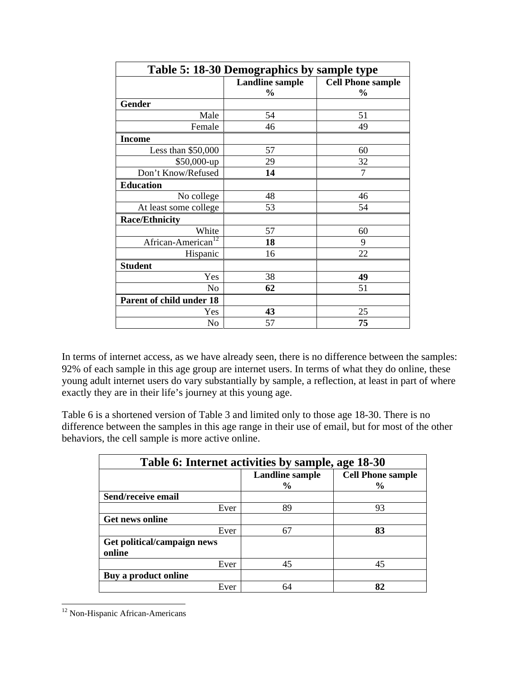| Table 5: 18-30 Demographics by sample type |                        |                          |  |
|--------------------------------------------|------------------------|--------------------------|--|
|                                            | <b>Landline sample</b> | <b>Cell Phone sample</b> |  |
|                                            | $\frac{0}{0}$          | $\frac{0}{0}$            |  |
| Gender                                     |                        |                          |  |
| Male                                       | 54                     | 51                       |  |
| Female                                     | 46                     | 49                       |  |
| <b>Income</b>                              |                        |                          |  |
| Less than $$50,000$                        | 57                     | 60                       |  |
| $$50,000$ -up                              | 29                     | 32                       |  |
| Don't Know/Refused                         | 14                     | 7                        |  |
| <b>Education</b>                           |                        |                          |  |
| No college                                 | 48                     | 46                       |  |
| At least some college                      | 53                     | 54                       |  |
| Race/Ethnicity                             |                        |                          |  |
| White                                      | 57                     | 60                       |  |
| African-American <sup>12</sup>             | 18                     | 9                        |  |
| Hispanic                                   | 16                     | 22                       |  |
| <b>Student</b>                             |                        |                          |  |
| Yes                                        | 38                     | 49                       |  |
| No                                         | 62                     | 51                       |  |
| Parent of child under 18                   |                        |                          |  |
| Yes                                        | 43                     | 25                       |  |
| No                                         | 57                     | 75                       |  |

In terms of internet access, as we have already seen, there is no difference between the samples: 92% of each sample in this age group are internet users. In terms of what they do online, these young adult internet users do vary substantially by sample, a reflection, at least in part of where exactly they are in their life's journey at this young age.

Table 6 is a shortened version of Table 3 and limited only to those age 18-30. There is no difference between the samples in this age range in their use of email, but for most of the other behaviors, the cell sample is more active online.

| Table 6: Internet activities by sample, age 18-30 |                        |                          |  |
|---------------------------------------------------|------------------------|--------------------------|--|
|                                                   | <b>Landline sample</b> | <b>Cell Phone sample</b> |  |
|                                                   | $\frac{6}{10}$         | $\frac{0}{0}$            |  |
| Send/receive email                                |                        |                          |  |
| Ever                                              | 89                     | 93                       |  |
| <b>Get news online</b>                            |                        |                          |  |
| Ever                                              | 67                     | 83                       |  |
| Get political/campaign news                       |                        |                          |  |
| online                                            |                        |                          |  |
| Ever                                              | 45                     | 45                       |  |
| Buy a product online                              |                        |                          |  |
| Ever                                              | 64                     | 82                       |  |

<sup>&</sup>lt;sup>12</sup> Non-Hispanic African-Americans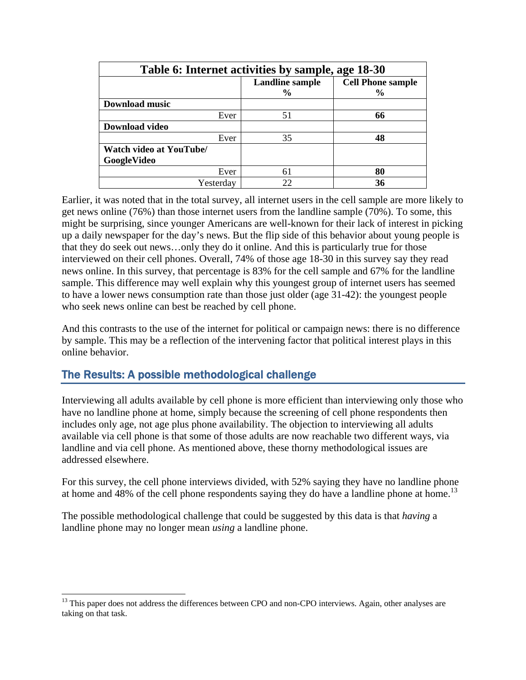| Table 6: Internet activities by sample, age 18-30 |                        |                          |  |
|---------------------------------------------------|------------------------|--------------------------|--|
|                                                   | <b>Landline sample</b> | <b>Cell Phone sample</b> |  |
|                                                   | $\frac{0}{0}$          | $\frac{6}{9}$            |  |
| Download music                                    |                        |                          |  |
| Ever                                              | 51                     | 66                       |  |
| <b>Download video</b>                             |                        |                          |  |
| Ever                                              | 35                     | 48                       |  |
| Watch video at YouTube/                           |                        |                          |  |
| GoogleVideo                                       |                        |                          |  |
| Ever                                              | 61                     | 80                       |  |
| Yesterday                                         | 22                     | 36                       |  |

Earlier, it was noted that in the total survey, all internet users in the cell sample are more likely to get news online (76%) than those internet users from the landline sample (70%). To some, this might be surprising, since younger Americans are well-known for their lack of interest in picking up a daily newspaper for the day's news. But the flip side of this behavior about young people is that they do seek out news…only they do it online. And this is particularly true for those interviewed on their cell phones. Overall, 74% of those age 18-30 in this survey say they read news online. In this survey, that percentage is 83% for the cell sample and 67% for the landline sample. This difference may well explain why this youngest group of internet users has seemed to have a lower news consumption rate than those just older (age 31-42): the youngest people who seek news online can best be reached by cell phone.

And this contrasts to the use of the internet for political or campaign news: there is no difference by sample. This may be a reflection of the intervening factor that political interest plays in this online behavior.

#### The Results: A possible methodological challenge

Interviewing all adults available by cell phone is more efficient than interviewing only those who have no landline phone at home, simply because the screening of cell phone respondents then includes only age, not age plus phone availability. The objection to interviewing all adults available via cell phone is that some of those adults are now reachable two different ways, via landline and via cell phone. As mentioned above, these thorny methodological issues are addressed elsewhere.

For this survey, the cell phone interviews divided, with 52% saying they have no landline phone at home and  $48\%$  of the cell phone respondents saying they do have a landline phone at home.<sup>13</sup>

The possible methodological challenge that could be suggested by this data is that *having* a landline phone may no longer mean *using* a landline phone.

<sup>&</sup>lt;sup>13</sup> This paper does not address the differences between CPO and non-CPO interviews. Again, other analyses are taking on that task.